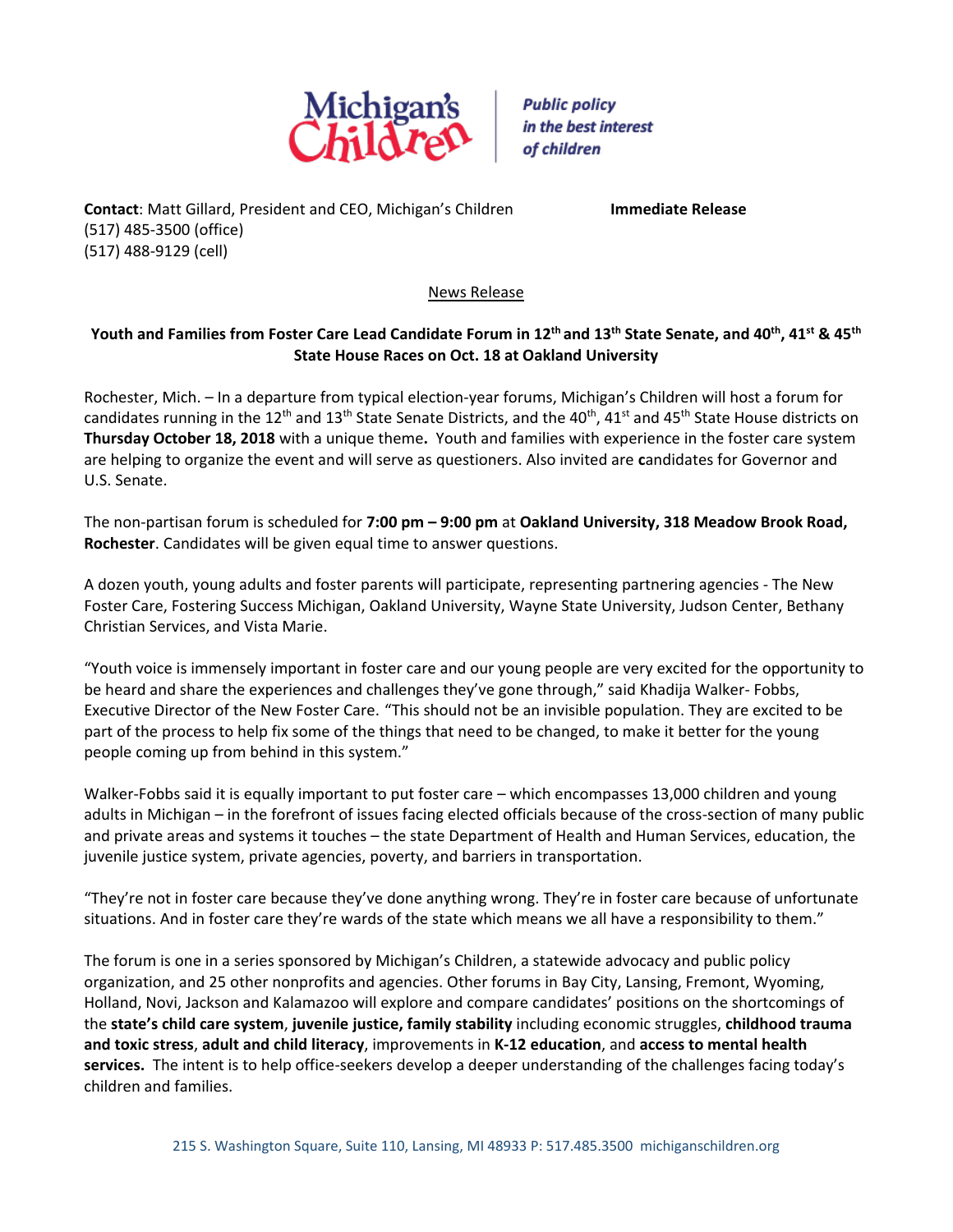

**Public policy** in the best interest of children

**Contact**: Matt Gillard, President and CEO, Michigan's Children **Immediate Release** (517) 485-3500 (office) (517) 488-9129 (cell)

News Release

## **Youth and Families from Foster Care Lead Candidate Forum in 12 th and 13th State Senate, and 40th , 41st & 45th State House Races on Oct. 18 at Oakland University**

Rochester, Mich. – In a departure from typical election-year forums, Michigan's Children will host a forum for candidates running in the 12<sup>th</sup> and 13<sup>th</sup> State Senate Districts, and the 40<sup>th</sup>, 41<sup>st</sup> and 45<sup>th</sup> State House districts on **Thursday October 18, 2018** with a unique theme**.** Youth and families with experience in the foster care system are helping to organize the event and will serve as questioners. Also invited are **c**andidates for Governor and U.S. Senate.

The non-partisan forum is scheduled for **7:00 pm – 9:00 pm** at **Oakland University, 318 Meadow Brook Road, Rochester**. Candidates will be given equal time to answer questions.

A dozen youth, young adults and foster parents will participate, representing partnering agencies - The New Foster Care, Fostering Success Michigan, Oakland University, Wayne State University, Judson Center, Bethany Christian Services, and Vista Marie.

"Youth voice is immensely important in foster care and our young people are very excited for the opportunity to be heard and share the experiences and challenges they've gone through," said Khadija Walker- Fobbs, Executive Director of the New Foster Care. "This should not be an invisible population. They are excited to be part of the process to help fix some of the things that need to be changed, to make it better for the young people coming up from behind in this system."

Walker-Fobbs said it is equally important to put foster care – which encompasses 13,000 children and young adults in Michigan – in the forefront of issues facing elected officials because of the cross-section of many public and private areas and systems it touches – the state Department of Health and Human Services, education, the juvenile justice system, private agencies, poverty, and barriers in transportation.

"They're not in foster care because they've done anything wrong. They're in foster care because of unfortunate situations. And in foster care they're wards of the state which means we all have a responsibility to them."

The forum is one in a series sponsored by Michigan's Children, a statewide advocacy and public policy organization, and 25 other nonprofits and agencies. Other forums in Bay City, Lansing, Fremont, Wyoming, Holland, Novi, Jackson and Kalamazoo will explore and compare candidates' positions on the shortcomings of the **state's child care system**, **juvenile justice, family stability** including economic struggles, **childhood trauma and toxic stress**, **adult and child literacy**, improvements in **K-12 education**, and **access to mental health services.** The intent is to help office-seekers develop a deeper understanding of the challenges facing today's children and families.